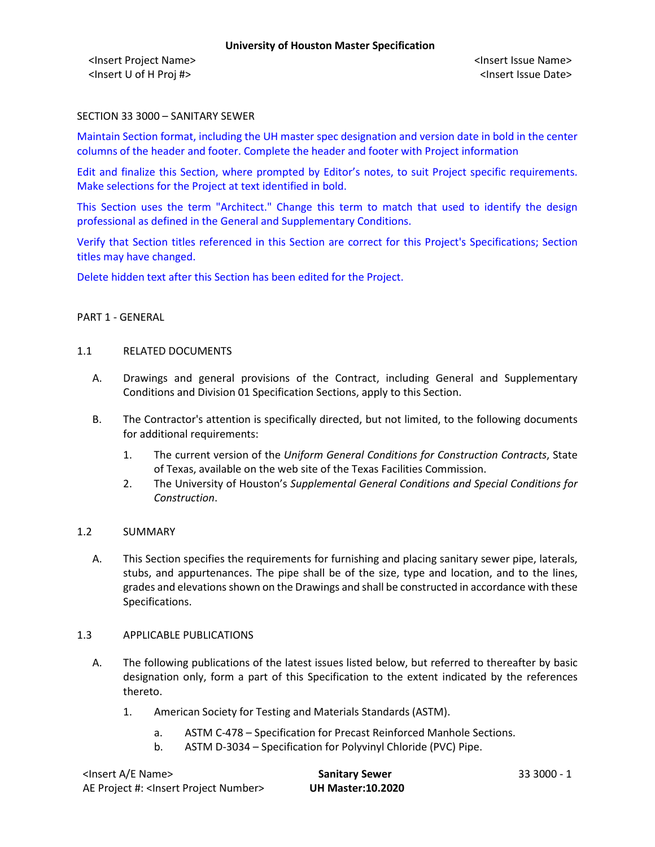### SECTION 33 3000 – SANITARY SEWER

Maintain Section format, including the UH master spec designation and version date in bold in the center columns of the header and footer. Complete the header and footer with Project information

Edit and finalize this Section, where prompted by Editor's notes, to suit Project specific requirements. Make selections for the Project at text identified in bold.

This Section uses the term "Architect." Change this term to match that used to identify the design professional as defined in the General and Supplementary Conditions.

Verify that Section titles referenced in this Section are correct for this Project's Specifications; Section titles may have changed.

Delete hidden text after this Section has been edited for the Project.

### PART 1 - GENERAL

#### 1.1 RELATED DOCUMENTS

- A. Drawings and general provisions of the Contract, including General and Supplementary Conditions and Division 01 Specification Sections, apply to this Section.
- B. The Contractor's attention is specifically directed, but not limited, to the following documents for additional requirements:
	- 1. The current version of the *Uniform General Conditions for Construction Contracts*, State of Texas, available on the web site of the Texas Facilities Commission.
	- 2. The University of Houston's *Supplemental General Conditions and Special Conditions for Construction*.

### 1.2 SUMMARY

A. This Section specifies the requirements for furnishing and placing sanitary sewer pipe, laterals, stubs, and appurtenances. The pipe shall be of the size, type and location, and to the lines, grades and elevations shown on the Drawings and shall be constructed in accordance with these Specifications.

### 1.3 APPLICABLE PUBLICATIONS

- A. The following publications of the latest issues listed below, but referred to thereafter by basic designation only, form a part of this Specification to the extent indicated by the references thereto.
	- 1. American Society for Testing and Materials Standards (ASTM).
		- a. ASTM C-478 Specification for Precast Reinforced Manhole Sections.
		- b. ASTM D-3034 Specification for Polyvinyl Chloride (PVC) Pipe.

| <lnsert a="" e="" name=""></lnsert>                  | <b>Sanitary Sewer</b>    | 33 3000 - 1 |
|------------------------------------------------------|--------------------------|-------------|
| AE Project #: <lnsert number="" project=""></lnsert> | <b>UH Master:10.2020</b> |             |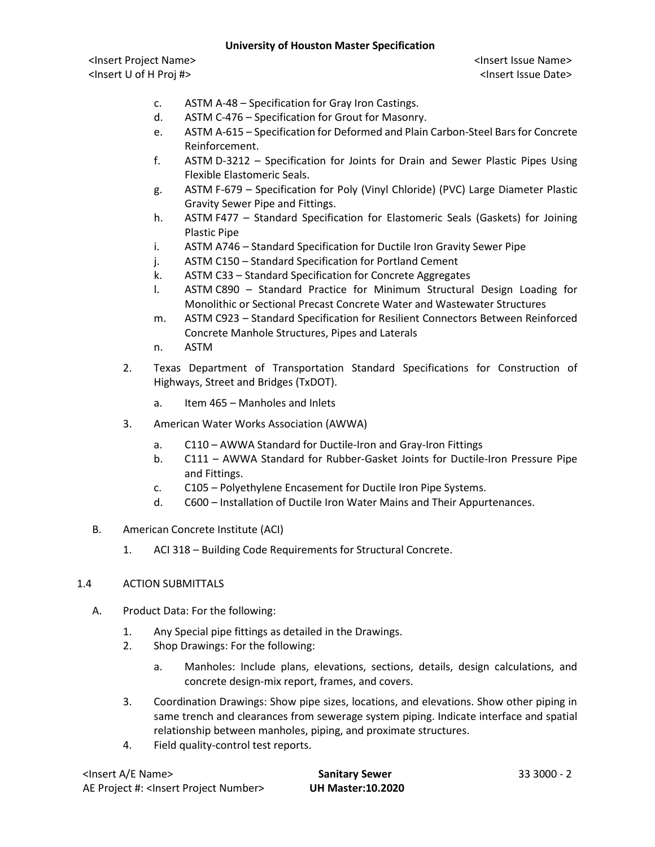# **University of Houston Master Specification**

<Insert Project Name> <Insert Issue Name> <Insert U of H Proj #> <Insert Issue Date>

- c. ASTM A-48 Specification for Gray Iron Castings.
- d. ASTM C-476 Specification for Grout for Masonry.
- e. ASTM A-615 Specification for Deformed and Plain Carbon-Steel Bars for Concrete Reinforcement.
- f. ASTM D-3212 Specification for Joints for Drain and Sewer Plastic Pipes Using Flexible Elastomeric Seals.
- g. ASTM F-679 Specification for Poly (Vinyl Chloride) (PVC) Large Diameter Plastic Gravity Sewer Pipe and Fittings.
- h. ASTM F477 Standard Specification for Elastomeric Seals (Gaskets) for Joining Plastic Pipe
- i. ASTM A746 Standard Specification for Ductile Iron Gravity Sewer Pipe
- j. ASTM C150 Standard Specification for Portland Cement
- k. ASTM C33 Standard Specification for Concrete Aggregates
- l. ASTM C890 Standard Practice for Minimum Structural Design Loading for Monolithic or Sectional Precast Concrete Water and Wastewater Structures
- m. ASTM C923 Standard Specification for Resilient Connectors Between Reinforced Concrete Manhole Structures, Pipes and Laterals
- n. ASTM
- 2. Texas Department of Transportation Standard Specifications for Construction of Highways, Street and Bridges (TxDOT).
	- a. Item 465 Manholes and Inlets
- 3. American Water Works Association (AWWA)
	- a. C110 AWWA Standard for Ductile-Iron and Gray-Iron Fittings
	- b. C111 AWWA Standard for Rubber-Gasket Joints for Ductile-Iron Pressure Pipe and Fittings.
	- c. C105 Polyethylene Encasement for Ductile Iron Pipe Systems.
	- d. C600 Installation of Ductile Iron Water Mains and Their Appurtenances.
- B. American Concrete Institute (ACI)
	- 1. ACI 318 Building Code Requirements for Structural Concrete.

### 1.4 ACTION SUBMITTALS

- A. Product Data: For the following:
	- 1. Any Special pipe fittings as detailed in the Drawings.
	- 2. Shop Drawings: For the following:
		- a. Manholes: Include plans, elevations, sections, details, design calculations, and concrete design-mix report, frames, and covers.
	- 3. Coordination Drawings: Show pipe sizes, locations, and elevations. Show other piping in same trench and clearances from sewerage system piping. Indicate interface and spatial relationship between manholes, piping, and proximate structures.
	- 4. Field quality-control test reports.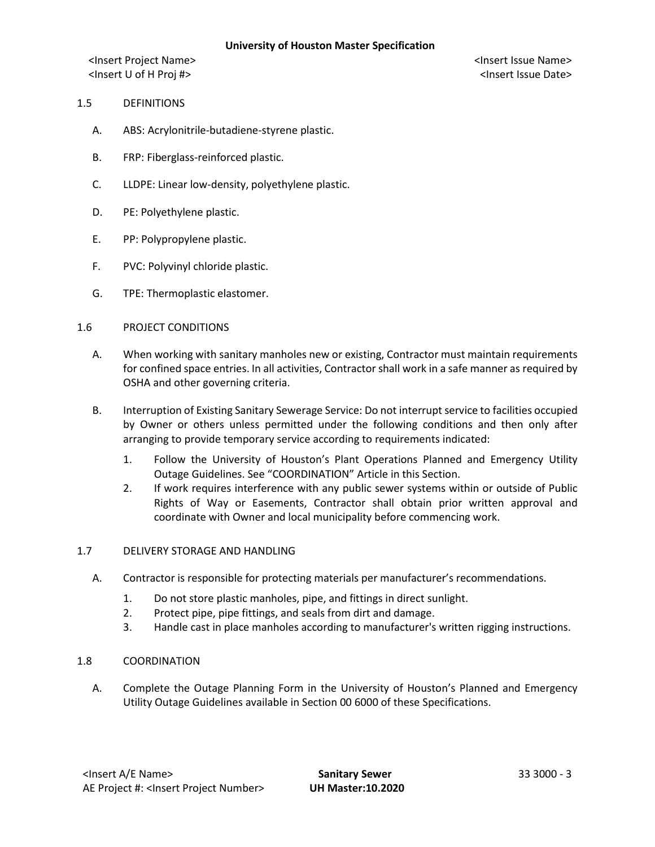## 1.5 DEFINITIONS

- A. ABS: Acrylonitrile-butadiene-styrene plastic.
- B. FRP: Fiberglass-reinforced plastic.
- C. LLDPE: Linear low-density, polyethylene plastic.
- D. PE: Polyethylene plastic.
- E. PP: Polypropylene plastic.
- F. PVC: Polyvinyl chloride plastic.
- G. TPE: Thermoplastic elastomer.

### 1.6 PROJECT CONDITIONS

- A. When working with sanitary manholes new or existing, Contractor must maintain requirements for confined space entries. In all activities, Contractor shall work in a safe manner as required by OSHA and other governing criteria.
- B. Interruption of Existing Sanitary Sewerage Service: Do not interrupt service to facilities occupied by Owner or others unless permitted under the following conditions and then only after arranging to provide temporary service according to requirements indicated:
	- 1. Follow the University of Houston's Plant Operations Planned and Emergency Utility Outage Guidelines. See "COORDINATION" Article in this Section.
	- 2. If work requires interference with any public sewer systems within or outside of Public Rights of Way or Easements, Contractor shall obtain prior written approval and coordinate with Owner and local municipality before commencing work.

### 1.7 DELIVERY STORAGE AND HANDLING

- A. Contractor is responsible for protecting materials per manufacturer's recommendations.
	- 1. Do not store plastic manholes, pipe, and fittings in direct sunlight.
	- 2. Protect pipe, pipe fittings, and seals from dirt and damage.
	- 3. Handle cast in place manholes according to manufacturer's written rigging instructions.

### 1.8 COORDINATION

A. Complete the Outage Planning Form in the University of Houston's Planned and Emergency Utility Outage Guidelines available in Section 00 6000 of these Specifications.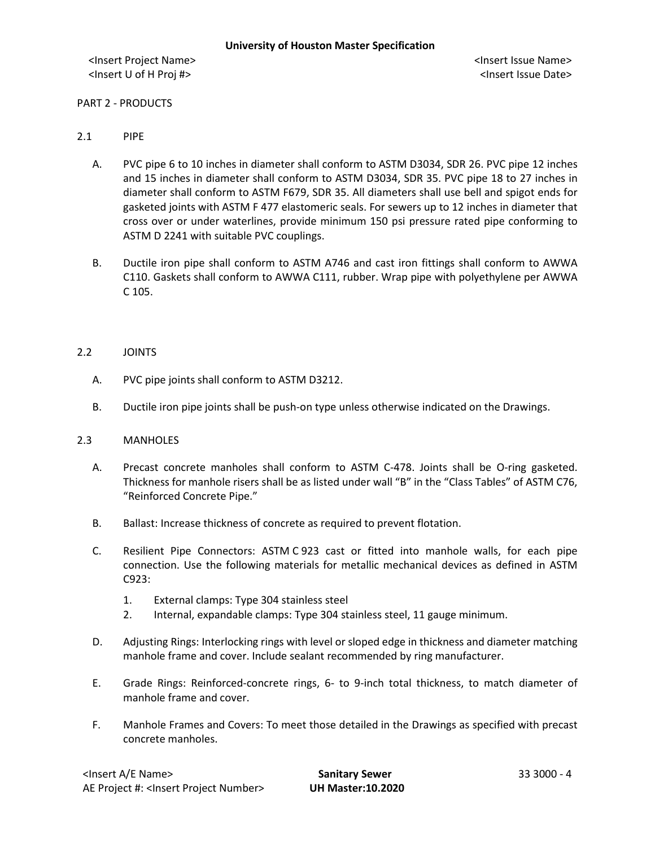PART 2 - PRODUCTS

### 2.1 PIPE

- A. PVC pipe 6 to 10 inches in diameter shall conform to ASTM D3034, SDR 26. PVC pipe 12 inches and 15 inches in diameter shall conform to ASTM D3034, SDR 35. PVC pipe 18 to 27 inches in diameter shall conform to ASTM F679, SDR 35. All diameters shall use bell and spigot ends for gasketed joints with ASTM F 477 elastomeric seals. For sewers up to 12 inches in diameter that cross over or under waterlines, provide minimum 150 psi pressure rated pipe conforming to ASTM D 2241 with suitable PVC couplings.
- B. Ductile iron pipe shall conform to ASTM A746 and cast iron fittings shall conform to AWWA C110. Gaskets shall conform to AWWA C111, rubber. Wrap pipe with polyethylene per AWWA C 105.

### 2.2 JOINTS

- A. PVC pipe joints shall conform to ASTM D3212.
- B. Ductile iron pipe joints shall be push-on type unless otherwise indicated on the Drawings.

### 2.3 MANHOLES

- A. Precast concrete manholes shall conform to ASTM C-478. Joints shall be O-ring gasketed. Thickness for manhole risers shall be as listed under wall "B" in the "Class Tables" of ASTM C76, "Reinforced Concrete Pipe."
- B. Ballast: Increase thickness of concrete as required to prevent flotation.
- C. Resilient Pipe Connectors: ASTM C 923 cast or fitted into manhole walls, for each pipe connection. Use the following materials for metallic mechanical devices as defined in ASTM C923:
	- 1. External clamps: Type 304 stainless steel
	- 2. Internal, expandable clamps: Type 304 stainless steel, 11 gauge minimum.
- D. Adjusting Rings: Interlocking rings with level or sloped edge in thickness and diameter matching manhole frame and cover. Include sealant recommended by ring manufacturer.
- E. Grade Rings: Reinforced-concrete rings, 6- to 9-inch total thickness, to match diameter of manhole frame and cover.
- F. Manhole Frames and Covers: To meet those detailed in the Drawings as specified with precast concrete manholes.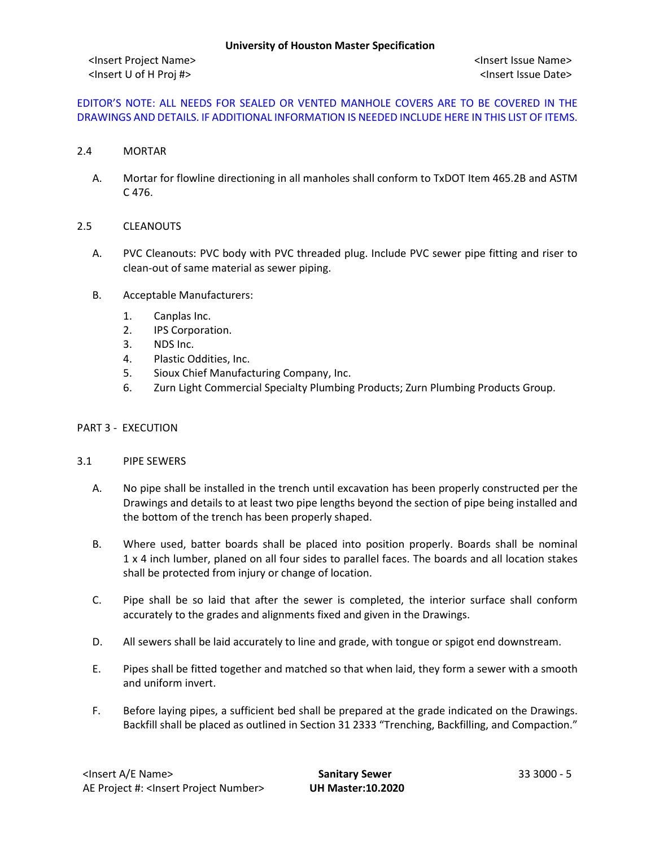# EDITOR'S NOTE: ALL NEEDS FOR SEALED OR VENTED MANHOLE COVERS ARE TO BE COVERED IN THE DRAWINGS AND DETAILS. IF ADDITIONAL INFORMATION IS NEEDED INCLUDE HERE IN THIS LIST OF ITEMS.

### 2.4 MORTAR

A. Mortar for flowline directioning in all manholes shall conform to TxDOT Item 465.2B and ASTM C 476.

### 2.5 CLEANOUTS

- A. PVC Cleanouts: PVC body with PVC threaded plug. Include PVC sewer pipe fitting and riser to clean-out of same material as sewer piping.
- B. Acceptable Manufacturers:
	- 1. Canplas Inc.
	- 2. IPS Corporation.
	- 3. NDS Inc.
	- 4. Plastic Oddities, Inc.
	- 5. Sioux Chief Manufacturing Company, Inc.
	- 6. Zurn Light Commercial Specialty Plumbing Products; Zurn Plumbing Products Group.

## PART 3 - EXECUTION

### 3.1 PIPE SEWERS

- A. No pipe shall be installed in the trench until excavation has been properly constructed per the Drawings and details to at least two pipe lengths beyond the section of pipe being installed and the bottom of the trench has been properly shaped.
- B. Where used, batter boards shall be placed into position properly. Boards shall be nominal 1 x 4 inch lumber, planed on all four sides to parallel faces. The boards and all location stakes shall be protected from injury or change of location.
- C. Pipe shall be so laid that after the sewer is completed, the interior surface shall conform accurately to the grades and alignments fixed and given in the Drawings.
- D. All sewers shall be laid accurately to line and grade, with tongue or spigot end downstream.
- E. Pipes shall be fitted together and matched so that when laid, they form a sewer with a smooth and uniform invert.
- F. Before laying pipes, a sufficient bed shall be prepared at the grade indicated on the Drawings. Backfill shall be placed as outlined in Section 31 2333 "Trenching, Backfilling, and Compaction."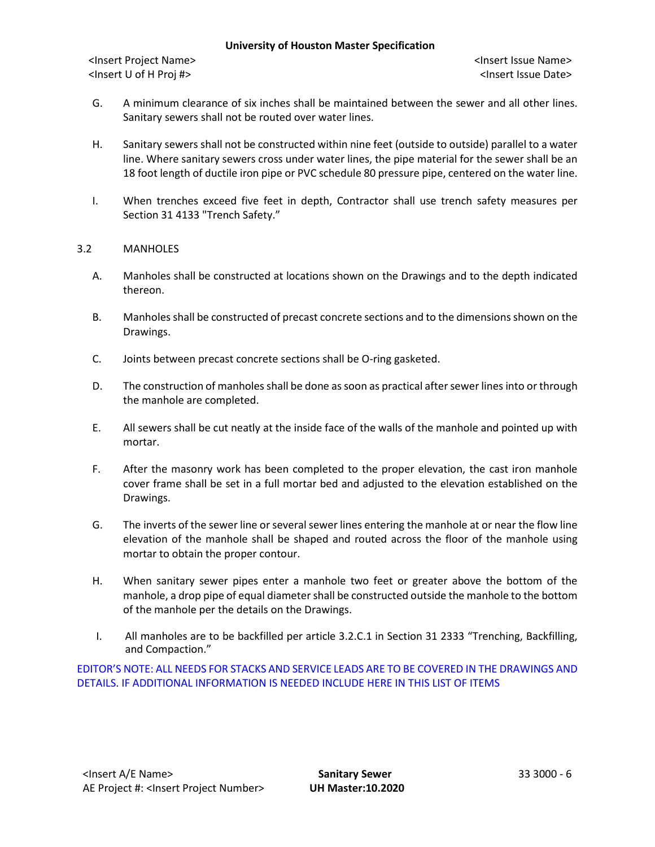### **University of Houston Master Specification**

<Insert Project Name> <Insert Issue Name> <Insert U of H Proj #> <Insert Issue Date>

- G. A minimum clearance of six inches shall be maintained between the sewer and all other lines. Sanitary sewers shall not be routed over water lines.
- H. Sanitary sewers shall not be constructed within nine feet (outside to outside) parallel to a water line. Where sanitary sewers cross under water lines, the pipe material for the sewer shall be an 18 foot length of ductile iron pipe or PVC schedule 80 pressure pipe, centered on the water line.
- I. When trenches exceed five feet in depth, Contractor shall use trench safety measures per Section 31 4133 "Trench Safety."

## 3.2 MANHOLES

- A. Manholes shall be constructed at locations shown on the Drawings and to the depth indicated thereon.
- B. Manholes shall be constructed of precast concrete sections and to the dimensions shown on the Drawings.
- C. Joints between precast concrete sections shall be O-ring gasketed.
- D. The construction of manholes shall be done as soon as practical after sewer lines into or through the manhole are completed.
- E. All sewers shall be cut neatly at the inside face of the walls of the manhole and pointed up with mortar.
- F. After the masonry work has been completed to the proper elevation, the cast iron manhole cover frame shall be set in a full mortar bed and adjusted to the elevation established on the Drawings.
- G. The inverts of the sewer line or several sewer lines entering the manhole at or near the flow line elevation of the manhole shall be shaped and routed across the floor of the manhole using mortar to obtain the proper contour.
- H. When sanitary sewer pipes enter a manhole two feet or greater above the bottom of the manhole, a drop pipe of equal diameter shall be constructed outside the manhole to the bottom of the manhole per the details on the Drawings.
- I. All manholes are to be backfilled per article 3.2.C.1 in Section 31 2333 "Trenching, Backfilling, and Compaction."

EDITOR'S NOTE: ALL NEEDS FOR STACKS AND SERVICE LEADS ARE TO BE COVERED IN THE DRAWINGS AND DETAILS. IF ADDITIONAL INFORMATION IS NEEDED INCLUDE HERE IN THIS LIST OF ITEMS